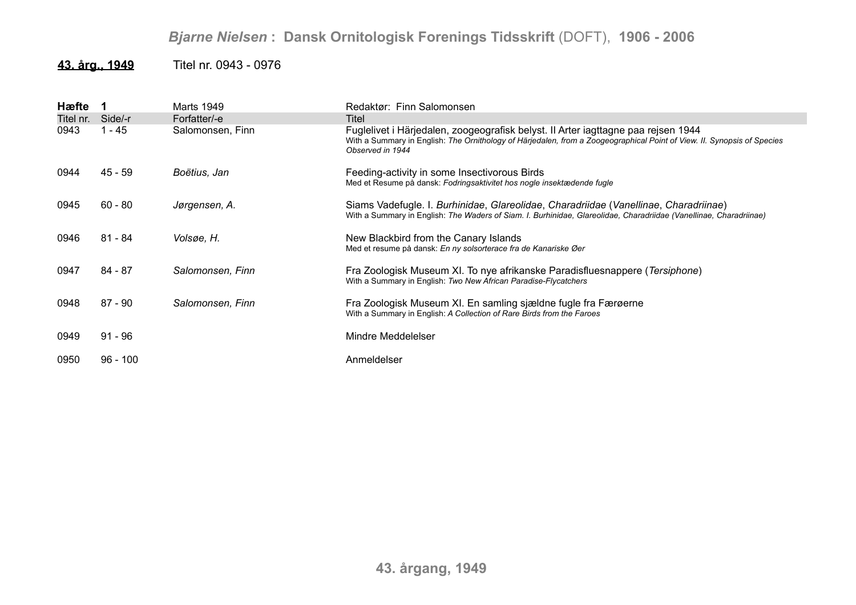## *Bjarne Nielsen* **: Dansk Ornitologisk Forenings Tidsskrift** (DOFT), **1906 - 2006**

## **43. årg., 1949** Titel nr. 0943 - 0976

| Hæfte     |            | Marts 1949       | Redaktør: Finn Salomonsen                                                                                                                                                                                                        |
|-----------|------------|------------------|----------------------------------------------------------------------------------------------------------------------------------------------------------------------------------------------------------------------------------|
| Titel nr. | Side/-r    | Forfatter/-e     | Titel                                                                                                                                                                                                                            |
| 0943      | $-45$      | Salomonsen, Finn | Fuglelivet i Härjedalen, zoogeografisk belyst. II Arter iagttagne paa rejsen 1944<br>With a Summary in English: The Ornithology of Härjedalen, from a Zoogeographical Point of View. II. Synopsis of Species<br>Observed in 1944 |
| 0944      | 45 - 59    | Boëtius, Jan     | Feeding-activity in some Insectivorous Birds<br>Med et Resume på dansk: Fodringsaktivitet hos nogle insektædende fugle                                                                                                           |
| 0945      | $60 - 80$  | Jørgensen, A.    | Siams Vadefugle. I. Burhinidae, Glareolidae, Charadriidae (Vanellinae, Charadriinae)<br>With a Summary in English: The Waders of Siam. I. Burhinidae, Glareolidae, Charadriidae (Vanellinae, Charadriinae)                       |
| 0946      | 81 - 84    | Volsøe, H.       | New Blackbird from the Canary Islands<br>Med et resume på dansk: En ny solsorterace fra de Kanariske Øer                                                                                                                         |
| 0947      | 84 - 87    | Salomonsen, Finn | Fra Zoologisk Museum XI. To nye afrikanske Paradisfluesnappere (Tersiphone)<br>With a Summary in English: Two New African Paradise-Flycatchers                                                                                   |
| 0948      | $87 - 90$  | Salomonsen, Finn | Fra Zoologisk Museum XI. En samling sjældne fugle fra Færøerne<br>With a Summary in English: A Collection of Rare Birds from the Faroes                                                                                          |
| 0949      | $91 - 96$  |                  | Mindre Meddelelser                                                                                                                                                                                                               |
| 0950      | $96 - 100$ |                  | Anmeldelser                                                                                                                                                                                                                      |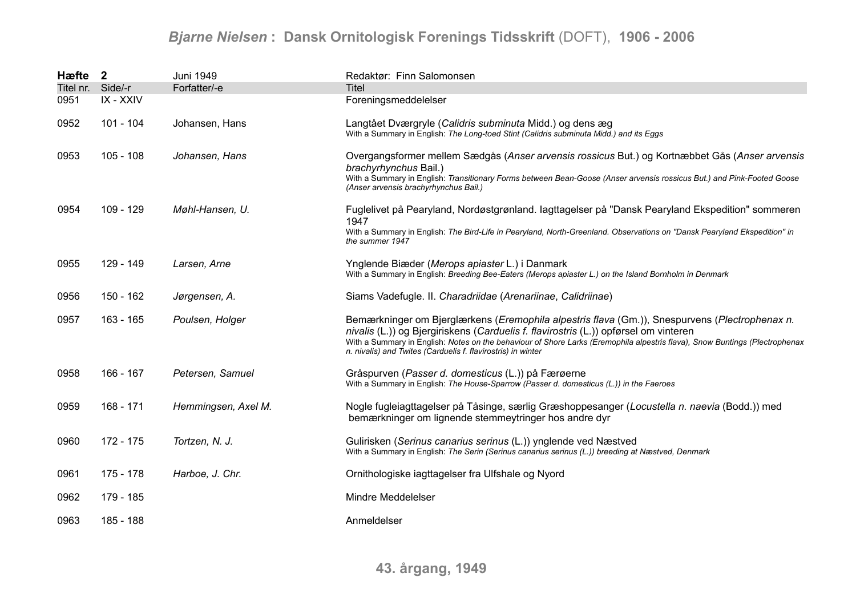## *Bjarne Nielsen* **: Dansk Ornitologisk Forenings Tidsskrift** (DOFT), **1906 - 2006**

| Hæfte 2   |             | Juni 1949           | Redaktør: Finn Salomonsen                                                                                                                                                                                                                                                                                                                                                             |
|-----------|-------------|---------------------|---------------------------------------------------------------------------------------------------------------------------------------------------------------------------------------------------------------------------------------------------------------------------------------------------------------------------------------------------------------------------------------|
| Titel nr. | Side/-r     | Forfatter/-e        | <b>Titel</b>                                                                                                                                                                                                                                                                                                                                                                          |
| 0951      | IX - XXIV   |                     | Foreningsmeddelelser                                                                                                                                                                                                                                                                                                                                                                  |
| 0952      | $101 - 104$ | Johansen, Hans      | Langtået Dværgryle (Calidris subminuta Midd.) og dens æg<br>With a Summary in English: The Long-toed Stint (Calidris subminuta Midd.) and its Eggs                                                                                                                                                                                                                                    |
| 0953      | $105 - 108$ | Johansen, Hans      | Overgangsformer mellem Sædgås (Anser arvensis rossicus But.) og Kortnæbbet Gås (Anser arvensis<br>brachyrhynchus Bail.)<br>With a Summary in English: Transitionary Forms between Bean-Goose (Anser arvensis rossicus But.) and Pink-Footed Goose<br>(Anser arvensis brachyrhynchus Bail.)                                                                                            |
| 0954      | 109 - 129   | Møhl-Hansen, U.     | Fuglelivet på Pearyland, Nordøstgrønland. lagttagelser på "Dansk Pearyland Ekspedition" sommeren<br>1947<br>With a Summary in English: The Bird-Life in Pearyland, North-Greenland. Observations on "Dansk Pearyland Ekspedition" in                                                                                                                                                  |
|           |             |                     | the summer 1947                                                                                                                                                                                                                                                                                                                                                                       |
| 0955      | 129 - 149   | Larsen, Arne        | Ynglende Biæder (Merops apiaster L.) i Danmark<br>With a Summary in English: Breeding Bee-Eaters (Merops apiaster L.) on the Island Bornholm in Denmark                                                                                                                                                                                                                               |
| 0956      | 150 - 162   | Jørgensen, A.       | Siams Vadefugle. II. Charadriidae (Arenariinae, Calidriinae)                                                                                                                                                                                                                                                                                                                          |
| 0957      | 163 - 165   | Poulsen, Holger     | Bemærkninger om Bjerglærkens (Eremophila alpestris flava (Gm.)), Snespurvens (Plectrophenax n.<br>nivalis (L.)) og Bjergiriskens (Carduelis f. flavirostris (L.)) opførsel om vinteren<br>With a Summary in English: Notes on the behaviour of Shore Larks (Eremophila alpestris flava), Snow Buntings (Plectrophenax<br>n. nivalis) and Twites (Carduelis f. flavirostris) in winter |
| 0958      | 166 - 167   | Petersen, Samuel    | Gråspurven (Passer d. domesticus (L.)) på Færøerne<br>With a Summary in English: The House-Sparrow (Passer d. domesticus (L.)) in the Faeroes                                                                                                                                                                                                                                         |
| 0959      | 168 - 171   | Hemmingsen, Axel M. | Nogle fugleiagttagelser på Tåsinge, særlig Græshoppesanger (Locustella n. naevia (Bodd.)) med<br>bemærkninger om lignende stemmeytringer hos andre dyr                                                                                                                                                                                                                                |
| 0960      | 172 - 175   | Tortzen, N. J.      | Gulirisken (Serinus canarius serinus (L.)) ynglende ved Næstved<br>With a Summary in English: The Serin (Serinus canarius serinus (L.)) breeding at Næstved, Denmark                                                                                                                                                                                                                  |
| 0961      | 175 - 178   | Harboe, J. Chr.     | Ornithologiske iagttagelser fra Ulfshale og Nyord                                                                                                                                                                                                                                                                                                                                     |
| 0962      | 179 - 185   |                     | Mindre Meddelelser                                                                                                                                                                                                                                                                                                                                                                    |
| 0963      | 185 - 188   |                     | Anmeldelser                                                                                                                                                                                                                                                                                                                                                                           |